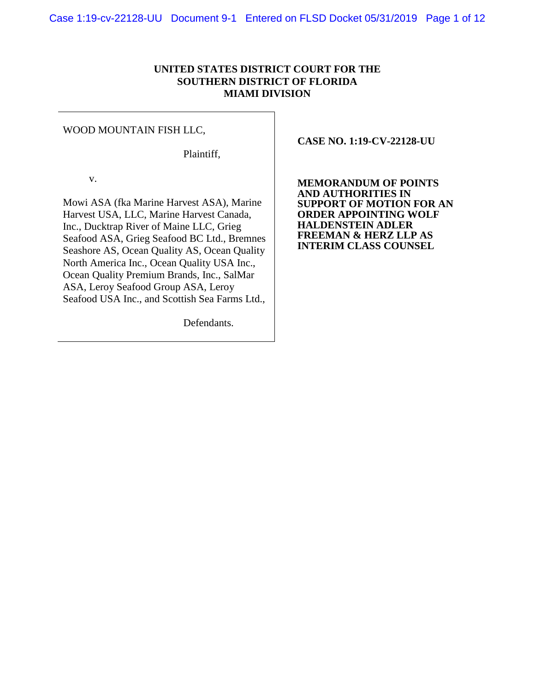# **UNITED STATES DISTRICT COURT FOR THE SOUTHERN DISTRICT OF FLORIDA MIAMI DIVISION**

#### WOOD MOUNTAIN FISH LLC,

Plaintiff,

v.

Mowi ASA (fka Marine Harvest ASA), Marine Harvest USA, LLC, Marine Harvest Canada, Inc., Ducktrap River of Maine LLC, Grieg Seafood ASA, Grieg Seafood BC Ltd., Bremnes Seashore AS, Ocean Quality AS, Ocean Quality North America Inc., Ocean Quality USA Inc., Ocean Quality Premium Brands, Inc., SalMar ASA, Leroy Seafood Group ASA, Leroy Seafood USA Inc., and Scottish Sea Farms Ltd.,

Defendants.

 **CASE NO. 1:19-CV-22128-UU**

**MEMORANDUM OF POINTS AND AUTHORITIES IN SUPPORT OF MOTION FOR AN ORDER APPOINTING WOLF HALDENSTEIN ADLER FREEMAN & HERZ LLP AS INTERIM CLASS COUNSEL**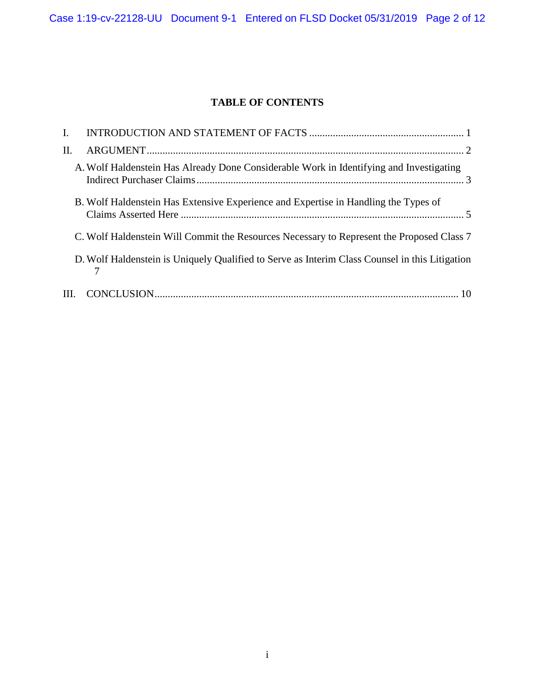# **TABLE OF CONTENTS**

| I. |                                                                                                |  |
|----|------------------------------------------------------------------------------------------------|--|
| Π. |                                                                                                |  |
|    | A. Wolf Haldenstein Has Already Done Considerable Work in Identifying and Investigating        |  |
|    | B. Wolf Haldenstein Has Extensive Experience and Expertise in Handling the Types of            |  |
|    | C. Wolf Haldenstein Will Commit the Resources Necessary to Represent the Proposed Class 7      |  |
|    | D. Wolf Haldenstein is Uniquely Qualified to Serve as Interim Class Counsel in this Litigation |  |
|    |                                                                                                |  |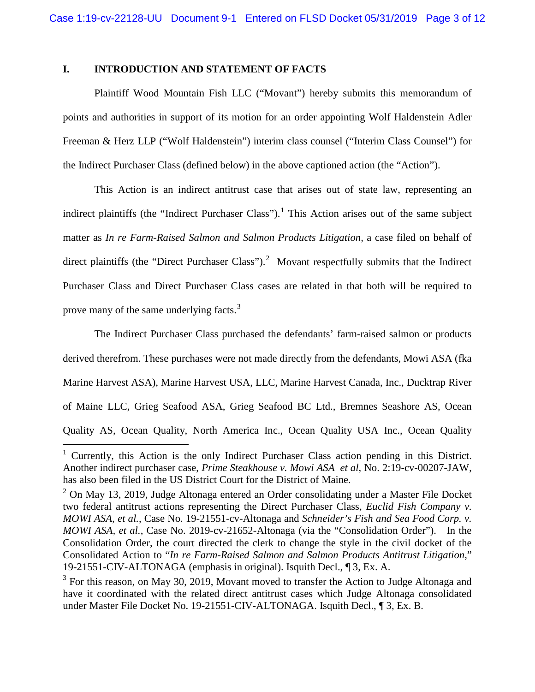# <span id="page-2-0"></span>**I. INTRODUCTION AND STATEMENT OF FACTS**

Plaintiff Wood Mountain Fish LLC ("Movant") hereby submits this memorandum of points and authorities in support of its motion for an order appointing Wolf Haldenstein Adler Freeman & Herz LLP ("Wolf Haldenstein") interim class counsel ("Interim Class Counsel") for the Indirect Purchaser Class (defined below) in the above captioned action (the "Action").

This Action is an indirect antitrust case that arises out of state law, representing an indirect plaintiffs (the "Indirect Purchaser Class").<sup>[1](#page-2-1)</sup> This Action arises out of the same subject matter as *In re Farm-Raised Salmon and Salmon Products Litigation,* a case filed on behalf of direct plaintiffs (the "Direct Purchaser Class").<sup>[2](#page-2-2)</sup> Movant respectfully submits that the Indirect Purchaser Class and Direct Purchaser Class cases are related in that both will be required to prove many of the same underlying facts.<sup>[3](#page-2-3)</sup>

The Indirect Purchaser Class purchased the defendants' farm-raised salmon or products derived therefrom. These purchases were not made directly from the defendants, Mowi ASA (fka Marine Harvest ASA), Marine Harvest USA, LLC, Marine Harvest Canada, Inc., Ducktrap River of Maine LLC, Grieg Seafood ASA, Grieg Seafood BC Ltd., Bremnes Seashore AS, Ocean Quality AS, Ocean Quality, North America Inc., Ocean Quality USA Inc., Ocean Quality

<span id="page-2-1"></span><sup>&</sup>lt;sup>1</sup> Currently, this Action is the only Indirect Purchaser Class action pending in this District. Another indirect purchaser case, *Prime Steakhouse v. Mowi ASA et al*, No. 2:19-cv-00207-JAW, has also been filed in the US District Court for the District of Maine.

<span id="page-2-2"></span> $2$  On May 13, 2019, Judge Altonaga entered an Order consolidating under a Master File Docket two federal antitrust actions representing the Direct Purchaser Class, *Euclid Fish Company v. MOWI ASA, et al.*, Case No. 19-21551-cv-Altonaga and *Schneider's Fish and Sea Food Corp. v. MOWI ASA, et al.*, Case No. 2019-cv-21652-Altonaga (via the "Consolidation Order"). In the Consolidation Order, the court directed the clerk to change the style in the civil docket of the Consolidated Action to "*In re Farm-Raised Salmon and Salmon Products Antitrust Litigation*," 19-21551-CIV-ALTONAGA (emphasis in original). Isquith Decl., ¶ 3, Ex. A.

<span id="page-2-3"></span> $3$  For this reason, on May 30, 2019, Movant moved to transfer the Action to Judge Altonaga and have it coordinated with the related direct antitrust cases which Judge Altonaga consolidated under Master File Docket No. 19-21551-CIV-ALTONAGA. Isquith Decl., ¶ 3, Ex. B.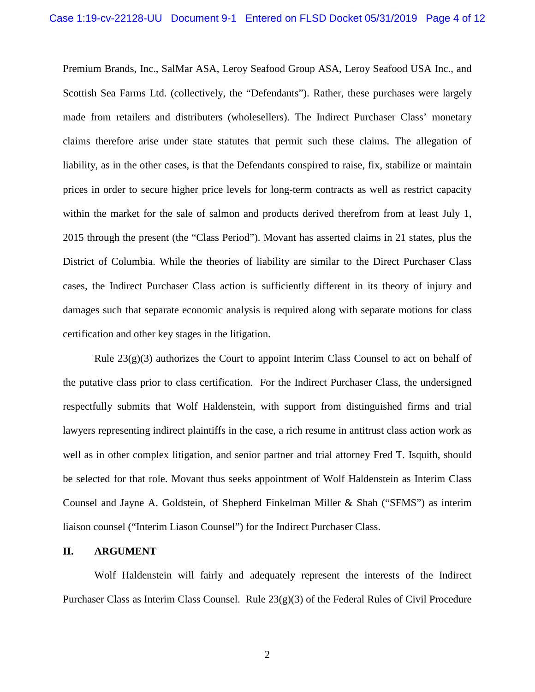Premium Brands, Inc., SalMar ASA, Leroy Seafood Group ASA, Leroy Seafood USA Inc., and Scottish Sea Farms Ltd. (collectively, the "Defendants"). Rather, these purchases were largely made from retailers and distributers (wholesellers). The Indirect Purchaser Class' monetary claims therefore arise under state statutes that permit such these claims. The allegation of liability, as in the other cases, is that the Defendants conspired to raise, fix, stabilize or maintain prices in order to secure higher price levels for long-term contracts as well as restrict capacity within the market for the sale of salmon and products derived therefrom from at least July 1, 2015 through the present (the "Class Period"). Movant has asserted claims in 21 states, plus the District of Columbia. While the theories of liability are similar to the Direct Purchaser Class cases, the Indirect Purchaser Class action is sufficiently different in its theory of injury and damages such that separate economic analysis is required along with separate motions for class certification and other key stages in the litigation.

Rule  $23(g)(3)$  authorizes the Court to appoint Interim Class Counsel to act on behalf of the putative class prior to class certification. For the Indirect Purchaser Class, the undersigned respectfully submits that Wolf Haldenstein, with support from distinguished firms and trial lawyers representing indirect plaintiffs in the case, a rich resume in antitrust class action work as well as in other complex litigation, and senior partner and trial attorney Fred T. Isquith, should be selected for that role. Movant thus seeks appointment of Wolf Haldenstein as Interim Class Counsel and Jayne A. Goldstein, of Shepherd Finkelman Miller & Shah ("SFMS") as interim liaison counsel ("Interim Liason Counsel") for the Indirect Purchaser Class.

#### <span id="page-3-0"></span>**II. ARGUMENT**

Wolf Haldenstein will fairly and adequately represent the interests of the Indirect Purchaser Class as Interim Class Counsel. Rule 23(g)(3) of the Federal Rules of Civil Procedure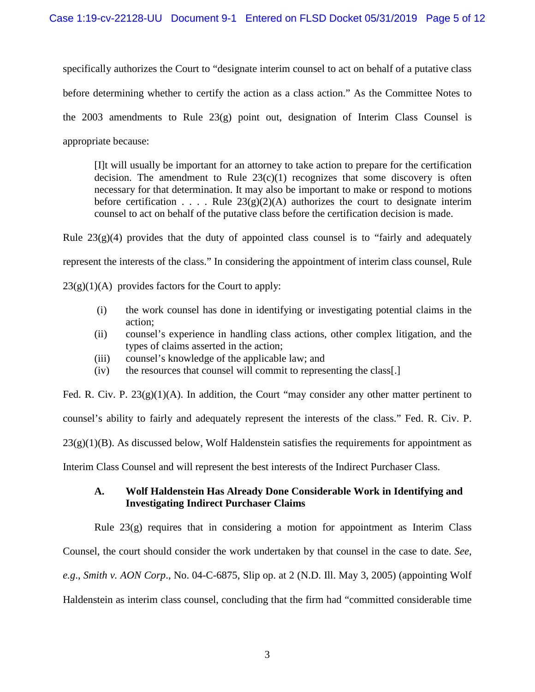specifically authorizes the Court to "designate interim counsel to act on behalf of a putative class before determining whether to certify the action as a class action." As the Committee Notes to the 2003 amendments to Rule  $23(g)$  point out, designation of Interim Class Counsel is appropriate because:

[I]t will usually be important for an attorney to take action to prepare for the certification decision. The amendment to Rule  $23(c)(1)$  recognizes that some discovery is often necessary for that determination. It may also be important to make or respond to motions before certification . . . . Rule  $23(g)(2)(A)$  authorizes the court to designate interim counsel to act on behalf of the putative class before the certification decision is made.

Rule  $23(g)(4)$  provides that the duty of appointed class counsel is to "fairly and adequately represent the interests of the class." In considering the appointment of interim class counsel, Rule

 $23(g)(1)(A)$  provides factors for the Court to apply:

- (i) the work counsel has done in identifying or investigating potential claims in the action;
- (ii) counsel's experience in handling class actions, other complex litigation, and the types of claims asserted in the action;
- (iii) counsel's knowledge of the applicable law; and
- (iv) the resources that counsel will commit to representing the class[.]

Fed. R. Civ. P.  $23(g)(1)(A)$ . In addition, the Court "may consider any other matter pertinent to counsel's ability to fairly and adequately represent the interests of the class." Fed. R. Civ. P.  $23(g)(1)(B)$ . As discussed below, Wolf Haldenstein satisfies the requirements for appointment as Interim Class Counsel and will represent the best interests of the Indirect Purchaser Class.

# <span id="page-4-0"></span>**A. Wolf Haldenstein Has Already Done Considerable Work in Identifying and Investigating Indirect Purchaser Claims**

Rule 23(g) requires that in considering a motion for appointment as Interim Class Counsel, the court should consider the work undertaken by that counsel in the case to date. *See*, *e.g*., *Smith v. AON Corp*., No. 04-C-6875, Slip op. at 2 (N.D. Ill. May 3, 2005) (appointing Wolf Haldenstein as interim class counsel, concluding that the firm had "committed considerable time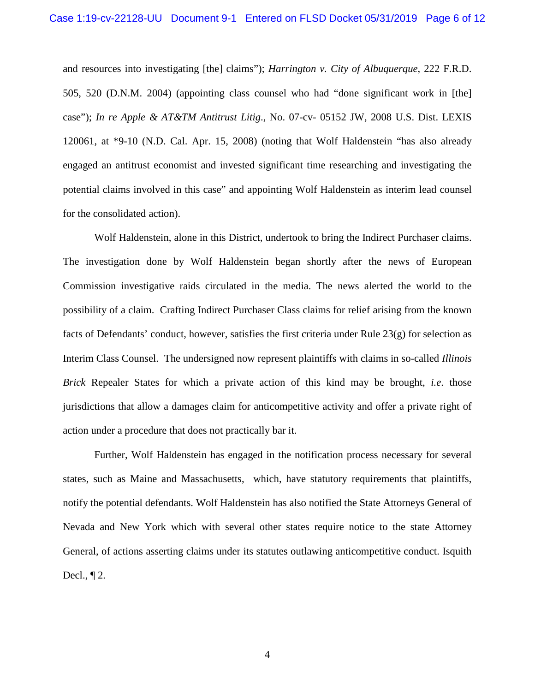and resources into investigating [the] claims"); *Harrington v. City of Albuquerque*, 222 F.R.D. 505, 520 (D.N.M. 2004) (appointing class counsel who had "done significant work in [the] case"); *In re Apple & AT&TM Antitrust Litig*., No. 07-cv- 05152 JW, 2008 U.S. Dist. LEXIS 120061, at \*9-10 (N.D. Cal. Apr. 15, 2008) (noting that Wolf Haldenstein "has also already engaged an antitrust economist and invested significant time researching and investigating the potential claims involved in this case" and appointing Wolf Haldenstein as interim lead counsel for the consolidated action).

Wolf Haldenstein, alone in this District, undertook to bring the Indirect Purchaser claims. The investigation done by Wolf Haldenstein began shortly after the news of European Commission investigative raids circulated in the media. The news alerted the world to the possibility of a claim. Crafting Indirect Purchaser Class claims for relief arising from the known facts of Defendants' conduct, however, satisfies the first criteria under Rule 23(g) for selection as Interim Class Counsel. The undersigned now represent plaintiffs with claims in so-called *Illinois Brick* Repealer States for which a private action of this kind may be brought, *i.e*. those jurisdictions that allow a damages claim for anticompetitive activity and offer a private right of action under a procedure that does not practically bar it.

Further, Wolf Haldenstein has engaged in the notification process necessary for several states, such as Maine and Massachusetts, which, have statutory requirements that plaintiffs, notify the potential defendants. Wolf Haldenstein has also notified the State Attorneys General of Nevada and New York which with several other states require notice to the state Attorney General, of actions asserting claims under its statutes outlawing anticompetitive conduct. Isquith Decl., ¶ 2.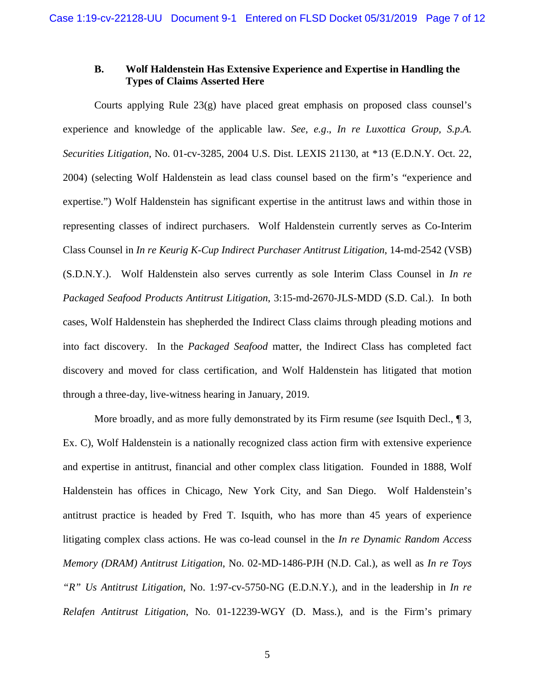# <span id="page-6-0"></span>**B. Wolf Haldenstein Has Extensive Experience and Expertise in Handling the Types of Claims Asserted Here**

Courts applying Rule 23(g) have placed great emphasis on proposed class counsel's experience and knowledge of the applicable law. *See*, *e.g*., *In re Luxottica Group, S.p.A. Securities Litigation*, No. 01-cv-3285, 2004 U.S. Dist. LEXIS 21130, at \*13 (E.D.N.Y. Oct. 22, 2004) (selecting Wolf Haldenstein as lead class counsel based on the firm's "experience and expertise.") Wolf Haldenstein has significant expertise in the antitrust laws and within those in representing classes of indirect purchasers. Wolf Haldenstein currently serves as Co-Interim Class Counsel in *In re Keurig K-Cup Indirect Purchaser Antitrust Litigation*, 14-md-2542 (VSB) (S.D.N.Y.). Wolf Haldenstein also serves currently as sole Interim Class Counsel in *In re Packaged Seafood Products Antitrust Litigation*, 3:15-md-2670-JLS-MDD (S.D. Cal.). In both cases, Wolf Haldenstein has shepherded the Indirect Class claims through pleading motions and into fact discovery. In the *Packaged Seafood* matter, the Indirect Class has completed fact discovery and moved for class certification, and Wolf Haldenstein has litigated that motion through a three-day, live-witness hearing in January, 2019.

More broadly, and as more fully demonstrated by its Firm resume (*see* Isquith Decl., ¶ 3, Ex. C), Wolf Haldenstein is a nationally recognized class action firm with extensive experience and expertise in antitrust, financial and other complex class litigation. Founded in 1888, Wolf Haldenstein has offices in Chicago, New York City, and San Diego. Wolf Haldenstein's antitrust practice is headed by Fred T. Isquith, who has more than 45 years of experience litigating complex class actions. He was co-lead counsel in the *In re Dynamic Random Access Memory (DRAM) Antitrust Litigation*, No. 02-MD-1486-PJH (N.D. Cal.), as well as *In re Toys "R" Us Antitrust Litigation*, No. 1:97-cv-5750-NG (E.D.N.Y.), and in the leadership in *In re Relafen Antitrust Litigation*, No. 01-12239-WGY (D. Mass.), and is the Firm's primary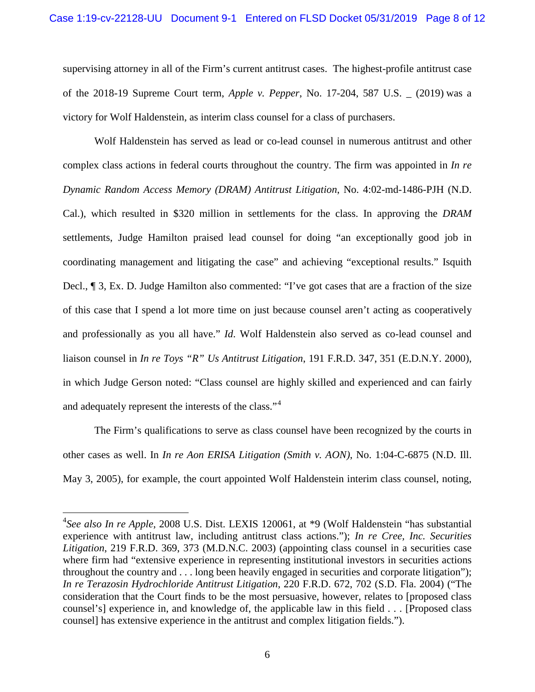supervising attorney in all of the Firm's current antitrust cases. The highest-profile antitrust case of the 2018-19 Supreme Court term, *Apple v. Pepper*, No. 17-204, 587 U.S. \_ (2019) was a victory for Wolf Haldenstein, as interim class counsel for a class of purchasers.

Wolf Haldenstein has served as lead or co-lead counsel in numerous antitrust and other complex class actions in federal courts throughout the country. The firm was appointed in *In re Dynamic Random Access Memory (DRAM) Antitrust Litigation*, No. 4:02-md-1486-PJH (N.D. Cal.), which resulted in \$320 million in settlements for the class. In approving the *DRAM*  settlements, Judge Hamilton praised lead counsel for doing "an exceptionally good job in coordinating management and litigating the case" and achieving "exceptional results." Isquith Decl., ¶ 3, Ex. D. Judge Hamilton also commented: "I've got cases that are a fraction of the size of this case that I spend a lot more time on just because counsel aren't acting as cooperatively and professionally as you all have." *Id*. Wolf Haldenstein also served as co-lead counsel and liaison counsel in *In re Toys "R" Us Antitrust Litigation*, 191 F.R.D. 347, 351 (E.D.N.Y. 2000), in which Judge Gerson noted: "Class counsel are highly skilled and experienced and can fairly and adequately represent the interests of the class."<sup>[4](#page-7-0)</sup>

The Firm's qualifications to serve as class counsel have been recognized by the courts in other cases as well. In *In re Aon ERISA Litigation (Smith v. AON)*, No. 1:04-C-6875 (N.D. Ill. May 3, 2005), for example, the court appointed Wolf Haldenstein interim class counsel, noting,

<span id="page-7-0"></span> <sup>4</sup> *See also In re Apple*, 2008 U.S. Dist. LEXIS 120061, at \*9 (Wolf Haldenstein "has substantial experience with antitrust law, including antitrust class actions."); *In re Cree, Inc. Securities Litigation*, 219 F.R.D. 369, 373 (M.D.N.C. 2003) (appointing class counsel in a securities case where firm had "extensive experience in representing institutional investors in securities actions throughout the country and . . . long been heavily engaged in securities and corporate litigation"); *In re Terazosin Hydrochloride Antitrust Litigation*, 220 F.R.D. 672, 702 (S.D. Fla. 2004) ("The consideration that the Court finds to be the most persuasive, however, relates to [proposed class counsel's] experience in, and knowledge of, the applicable law in this field . . . [Proposed class counsel] has extensive experience in the antitrust and complex litigation fields.").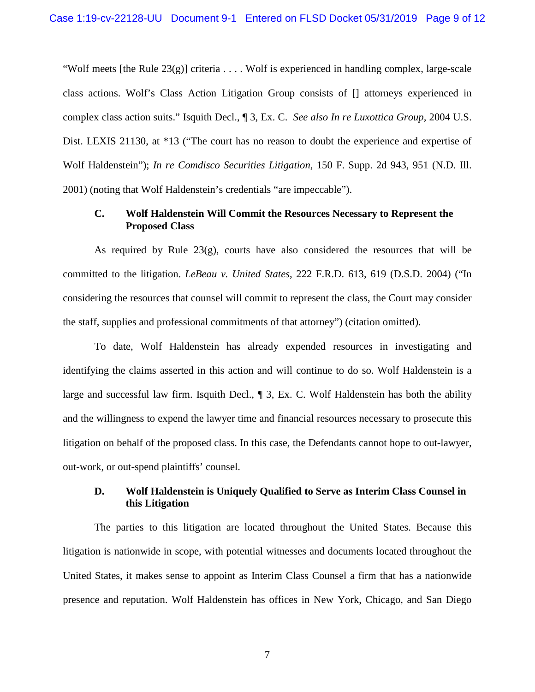"Wolf meets [the Rule  $23(g)$ ] criteria . . . . Wolf is experienced in handling complex, large-scale class actions. Wolf's Class Action Litigation Group consists of [] attorneys experienced in complex class action suits." Isquith Decl., ¶ 3, Ex. C. *See also In re Luxottica Group,* 2004 U.S. Dist. LEXIS 21130, at \*13 ("The court has no reason to doubt the experience and expertise of Wolf Haldenstein"); *In re Comdisco Securities Litigation*, 150 F. Supp. 2d 943, 951 (N.D. Ill. 2001) (noting that Wolf Haldenstein's credentials "are impeccable").

### <span id="page-8-0"></span>**C. Wolf Haldenstein Will Commit the Resources Necessary to Represent the Proposed Class**

As required by Rule  $23(g)$ , courts have also considered the resources that will be committed to the litigation. *LeBeau v. United States*, 222 F.R.D. 613, 619 (D.S.D. 2004) ("In considering the resources that counsel will commit to represent the class, the Court may consider the staff, supplies and professional commitments of that attorney") (citation omitted).

To date, Wolf Haldenstein has already expended resources in investigating and identifying the claims asserted in this action and will continue to do so. Wolf Haldenstein is a large and successful law firm. Isquith Decl., ¶ 3, Ex. C. Wolf Haldenstein has both the ability and the willingness to expend the lawyer time and financial resources necessary to prosecute this litigation on behalf of the proposed class. In this case, the Defendants cannot hope to out-lawyer, out-work, or out-spend plaintiffs' counsel.

### <span id="page-8-1"></span>**D. Wolf Haldenstein is Uniquely Qualified to Serve as Interim Class Counsel in this Litigation**

The parties to this litigation are located throughout the United States. Because this litigation is nationwide in scope, with potential witnesses and documents located throughout the United States, it makes sense to appoint as Interim Class Counsel a firm that has a nationwide presence and reputation. Wolf Haldenstein has offices in New York, Chicago, and San Diego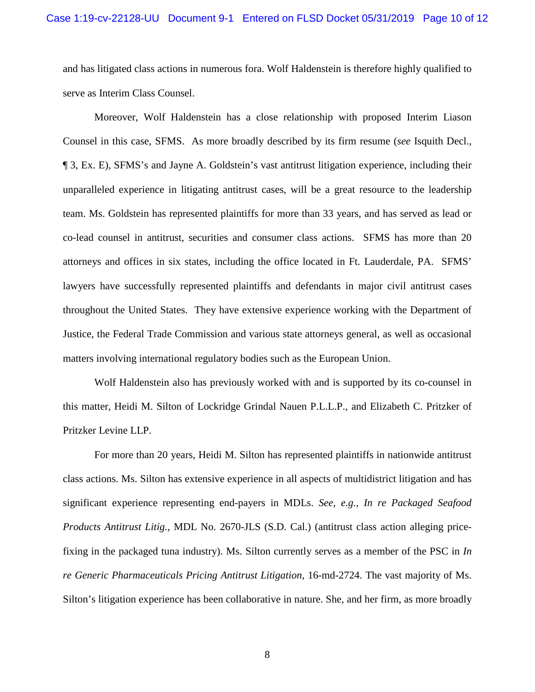and has litigated class actions in numerous fora. Wolf Haldenstein is therefore highly qualified to serve as Interim Class Counsel.

Moreover, Wolf Haldenstein has a close relationship with proposed Interim Liason Counsel in this case, SFMS. As more broadly described by its firm resume (*see* Isquith Decl., ¶ 3, Ex. E), SFMS's and Jayne A. Goldstein's vast antitrust litigation experience, including their unparalleled experience in litigating antitrust cases, will be a great resource to the leadership team. Ms. Goldstein has represented plaintiffs for more than 33 years, and has served as lead or co-lead counsel in antitrust, securities and consumer class actions. SFMS has more than 20 attorneys and offices in six states, including the office located in Ft. Lauderdale, PA. SFMS' lawyers have successfully represented plaintiffs and defendants in major civil antitrust cases throughout the United States. They have extensive experience working with the Department of Justice, the Federal Trade Commission and various state attorneys general, as well as occasional matters involving international regulatory bodies such as the European Union.

Wolf Haldenstein also has previously worked with and is supported by its co-counsel in this matter, Heidi M. Silton of Lockridge Grindal Nauen P.L.L.P., and Elizabeth C. Pritzker of Pritzker Levine LLP.

For more than 20 years, Heidi M. Silton has represented plaintiffs in nationwide antitrust class actions. Ms. Silton has extensive experience in all aspects of multidistrict litigation and has significant experience representing end-payers in MDLs. *See, e.g.*, *In re Packaged Seafood Products Antitrust Litig.*, MDL No. 2670-JLS (S.D. Cal.) (antitrust class action alleging pricefixing in the packaged tuna industry). Ms. Silton currently serves as a member of the PSC in *In re Generic Pharmaceuticals Pricing Antitrust Litigation*, 16-md-2724. The vast majority of Ms. Silton's litigation experience has been collaborative in nature. She, and her firm, as more broadly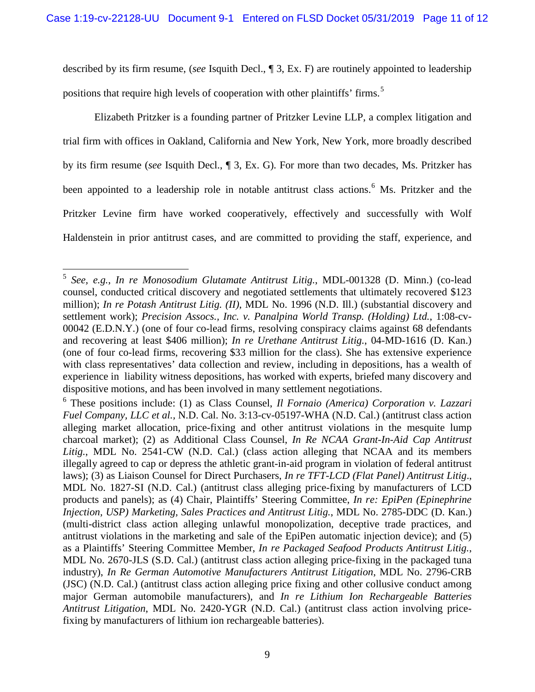described by its firm resume, (*see* Isquith Decl., ¶ 3, Ex. F) are routinely appointed to leadership positions that require high levels of cooperation with other plaintiffs' firms.<sup>[5](#page-10-0)</sup>

Elizabeth Pritzker is a founding partner of Pritzker Levine LLP, a complex litigation and trial firm with offices in Oakland, California and New York, New York, more broadly described by its firm resume (*see* Isquith Decl., ¶ 3, Ex. G). For more than two decades, Ms. Pritzker has been appointed to a leadership role in notable antitrust class actions.<sup>[6](#page-10-1)</sup> Ms. Pritzker and the Pritzker Levine firm have worked cooperatively, effectively and successfully with Wolf Haldenstein in prior antitrust cases, and are committed to providing the staff, experience, and

<span id="page-10-0"></span> <sup>5</sup> *See, e.g.*, *In re Monosodium Glutamate Antitrust Litig.*, MDL-001328 (D. Minn.) (co-lead counsel, conducted critical discovery and negotiated settlements that ultimately recovered \$123 million); *In re Potash Antitrust Litig. (II)*, MDL No. 1996 (N.D. Ill.) (substantial discovery and settlement work); *Precision Assocs., Inc. v. Panalpina World Transp. (Holding) Ltd.*, 1:08-cv-00042 (E.D.N.Y.) (one of four co-lead firms, resolving conspiracy claims against 68 defendants and recovering at least \$406 million); *In re Urethane Antitrust Litig.*, 04-MD-1616 (D. Kan.) (one of four co-lead firms, recovering \$33 million for the class). She has extensive experience with class representatives' data collection and review, including in depositions, has a wealth of experience in liability witness depositions, has worked with experts, briefed many discovery and

<span id="page-10-1"></span>dispositive motions, and has been involved in many settlement negotiations. 6 These positions include: (1) as Class Counsel, *Il Fornaio (America) Corporation v. Lazzari Fuel Company, LLC et al.,* N.D. Cal. No. 3:13-cv-05197-WHA (N.D. Cal.) (antitrust class action alleging market allocation, price-fixing and other antitrust violations in the mesquite lump charcoal market); (2) as Additional Class Counsel, *In Re NCAA Grant-In-Aid Cap Antitrust Litig.*, MDL No. 2541-CW (N.D. Cal.) (class action alleging that NCAA and its members illegally agreed to cap or depress the athletic grant-in-aid program in violation of federal antitrust laws); (3) as Liaison Counsel for Direct Purchasers, *In re TFT-LCD (Flat Panel) Antitrust Litig*., MDL No. 1827-SI (N.D. Cal.) (antitrust class alleging price-fixing by manufacturers of LCD products and panels); as (4) Chair, Plaintiffs' Steering Committee, *In re: EpiPen (Epinephrine Injection, USP) Marketing, Sales Practices and Antitrust Litig.*, MDL No. 2785-DDC (D. Kan.) (multi-district class action alleging unlawful monopolization, deceptive trade practices, and antitrust violations in the marketing and sale of the EpiPen automatic injection device); and (5) as a Plaintiffs' Steering Committee Member, *In re Packaged Seafood Products Antitrust Litig.*, MDL No. 2670-JLS (S.D. Cal.) (antitrust class action alleging price-fixing in the packaged tuna industry), *In Re German Automotive Manufacturers Antitrust Litigation*, MDL No. 2796-CRB (JSC) (N.D. Cal.) (antitrust class action alleging price fixing and other collusive conduct among major German automobile manufacturers), and *In re Lithium Ion Rechargeable Batteries Antitrust Litigation*, MDL No. 2420-YGR (N.D. Cal.) (antitrust class action involving pricefixing by manufacturers of lithium ion rechargeable batteries).